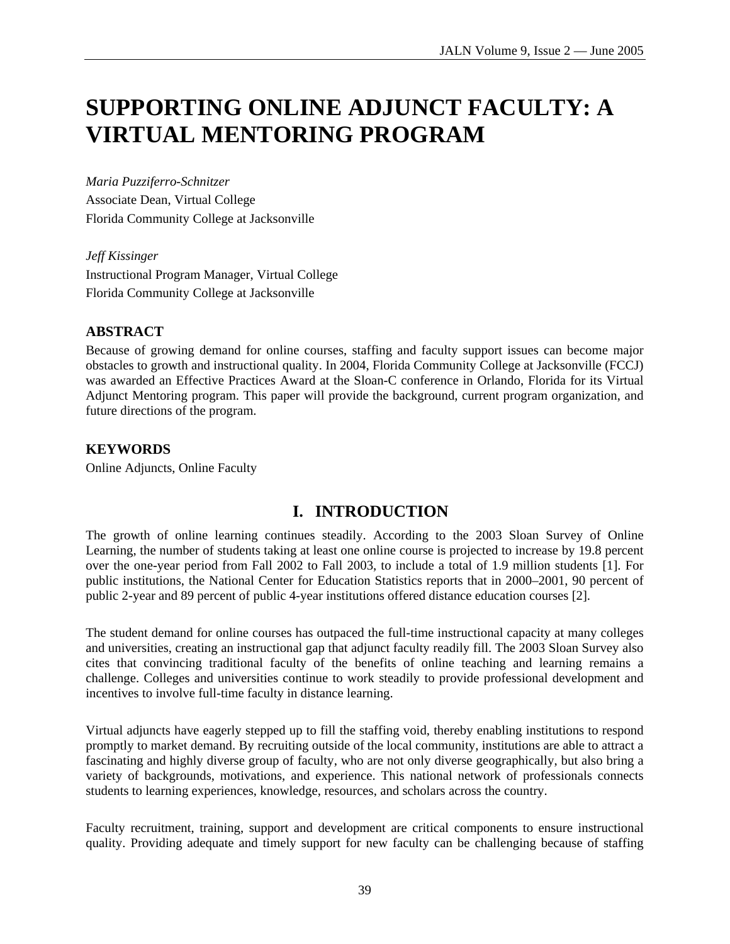# **SUPPORTING ONLINE ADJUNCT FACULTY: A VIRTUAL MENTORING PROGRAM**

*Maria Puzziferro-Schnitzer*  Associate Dean, Virtual College Florida Community College at Jacksonville

*Jeff Kissinger*  Instructional Program Manager, Virtual College Florida Community College at Jacksonville

#### **ABSTRACT**

Because of growing demand for online courses, staffing and faculty support issues can become major obstacles to growth and instructional quality. In 2004, Florida Community College at Jacksonville (FCCJ) was awarded an Effective Practices Award at the Sloan-C conference in Orlando, Florida for its Virtual Adjunct Mentoring program. This paper will provide the background, current program organization, and future directions of the program.

#### **KEYWORDS**

Online Adjuncts, Online Faculty

# **I. INTRODUCTION**

The growth of online learning continues steadily. According to the 2003 Sloan Survey of Online Learning, the number of students taking at least one online course is projected to increase by 19.8 percent over the one-year period from Fall 2002 to Fall 2003, to include a total of 1.9 million students [1]. For public institutions, the National Center for Education Statistics reports that in 2000–2001, 90 percent of public 2-year and 89 percent of public 4-year institutions offered distance education courses [2].

The student demand for online courses has outpaced the full-time instructional capacity at many colleges and universities, creating an instructional gap that adjunct faculty readily fill. The 2003 Sloan Survey also cites that convincing traditional faculty of the benefits of online teaching and learning remains a challenge. Colleges and universities continue to work steadily to provide professional development and incentives to involve full-time faculty in distance learning.

Virtual adjuncts have eagerly stepped up to fill the staffing void, thereby enabling institutions to respond promptly to market demand. By recruiting outside of the local community, institutions are able to attract a fascinating and highly diverse group of faculty, who are not only diverse geographically, but also bring a variety of backgrounds, motivations, and experience. This national network of professionals connects students to learning experiences, knowledge, resources, and scholars across the country.

Faculty recruitment, training, support and development are critical components to ensure instructional quality. Providing adequate and timely support for new faculty can be challenging because of staffing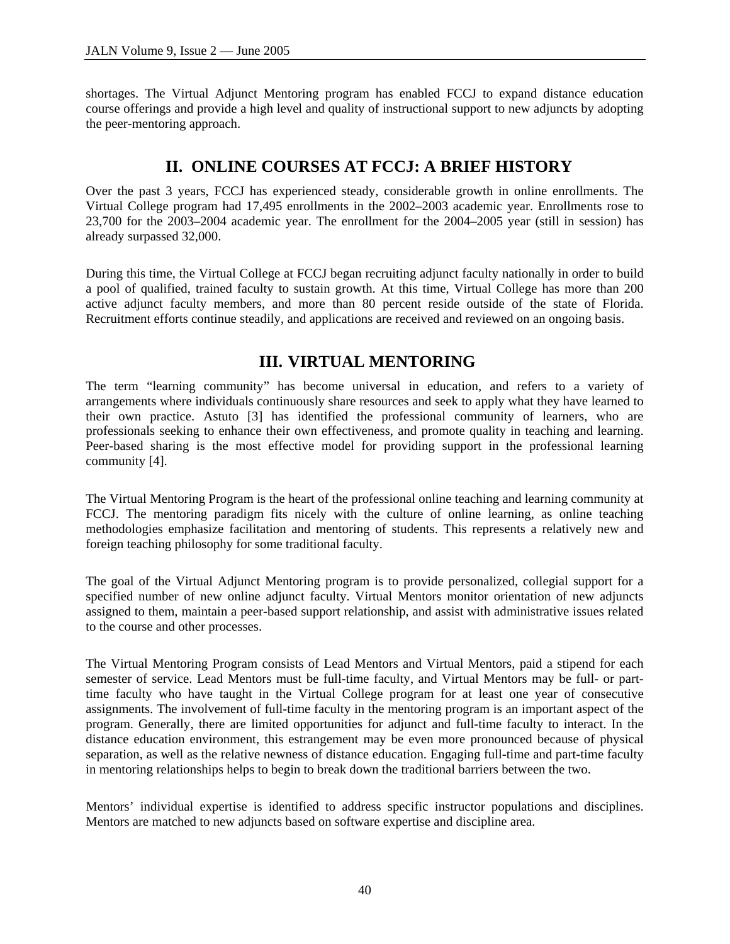shortages. The Virtual Adjunct Mentoring program has enabled FCCJ to expand distance education course offerings and provide a high level and quality of instructional support to new adjuncts by adopting the peer-mentoring approach.

#### **II. ONLINE COURSES AT FCCJ: A BRIEF HISTORY**

Over the past 3 years, FCCJ has experienced steady, considerable growth in online enrollments. The Virtual College program had 17,495 enrollments in the 2002–2003 academic year. Enrollments rose to 23,700 for the 2003–2004 academic year. The enrollment for the 2004–2005 year (still in session) has already surpassed 32,000.

During this time, the Virtual College at FCCJ began recruiting adjunct faculty nationally in order to build a pool of qualified, trained faculty to sustain growth. At this time, Virtual College has more than 200 active adjunct faculty members, and more than 80 percent reside outside of the state of Florida. Recruitment efforts continue steadily, and applications are received and reviewed on an ongoing basis.

#### **III. VIRTUAL MENTORING**

The term "learning community" has become universal in education, and refers to a variety of arrangements where individuals continuously share resources and seek to apply what they have learned to their own practice. Astuto [3] has identified the professional community of learners, who are professionals seeking to enhance their own effectiveness, and promote quality in teaching and learning. Peer-based sharing is the most effective model for providing support in the professional learning community [4].

The Virtual Mentoring Program is the heart of the professional online teaching and learning community at FCCJ. The mentoring paradigm fits nicely with the culture of online learning, as online teaching methodologies emphasize facilitation and mentoring of students. This represents a relatively new and foreign teaching philosophy for some traditional faculty.

The goal of the Virtual Adjunct Mentoring program is to provide personalized, collegial support for a specified number of new online adjunct faculty. Virtual Mentors monitor orientation of new adjuncts assigned to them, maintain a peer-based support relationship, and assist with administrative issues related to the course and other processes.

The Virtual Mentoring Program consists of Lead Mentors and Virtual Mentors, paid a stipend for each semester of service. Lead Mentors must be full-time faculty, and Virtual Mentors may be full- or parttime faculty who have taught in the Virtual College program for at least one year of consecutive assignments. The involvement of full-time faculty in the mentoring program is an important aspect of the program. Generally, there are limited opportunities for adjunct and full-time faculty to interact. In the distance education environment, this estrangement may be even more pronounced because of physical separation, as well as the relative newness of distance education. Engaging full-time and part-time faculty in mentoring relationships helps to begin to break down the traditional barriers between the two.

Mentors' individual expertise is identified to address specific instructor populations and disciplines. Mentors are matched to new adjuncts based on software expertise and discipline area.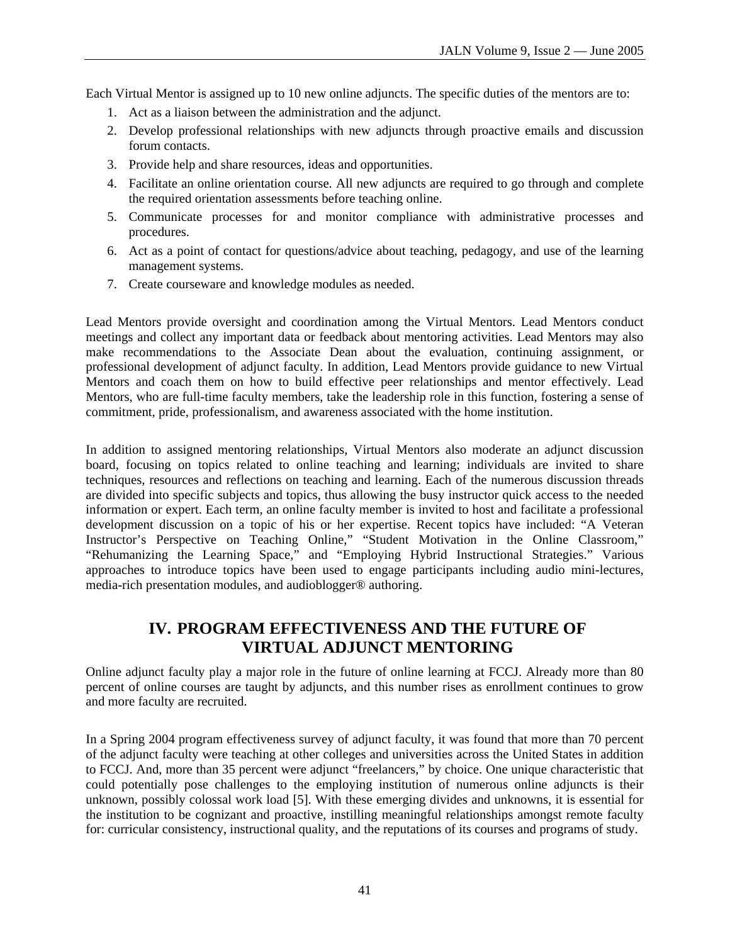Each Virtual Mentor is assigned up to 10 new online adjuncts. The specific duties of the mentors are to:

- 1. Act as a liaison between the administration and the adjunct.
- 2. Develop professional relationships with new adjuncts through proactive emails and discussion forum contacts.
- 3. Provide help and share resources, ideas and opportunities.
- 4. Facilitate an online orientation course. All new adjuncts are required to go through and complete the required orientation assessments before teaching online.
- 5. Communicate processes for and monitor compliance with administrative processes and procedures.
- 6. Act as a point of contact for questions/advice about teaching, pedagogy, and use of the learning management systems.
- 7. Create courseware and knowledge modules as needed.

Lead Mentors provide oversight and coordination among the Virtual Mentors. Lead Mentors conduct meetings and collect any important data or feedback about mentoring activities. Lead Mentors may also make recommendations to the Associate Dean about the evaluation, continuing assignment, or professional development of adjunct faculty. In addition, Lead Mentors provide guidance to new Virtual Mentors and coach them on how to build effective peer relationships and mentor effectively. Lead Mentors, who are full-time faculty members, take the leadership role in this function, fostering a sense of commitment, pride, professionalism, and awareness associated with the home institution.

In addition to assigned mentoring relationships, Virtual Mentors also moderate an adjunct discussion board, focusing on topics related to online teaching and learning; individuals are invited to share techniques, resources and reflections on teaching and learning. Each of the numerous discussion threads are divided into specific subjects and topics, thus allowing the busy instructor quick access to the needed information or expert. Each term, an online faculty member is invited to host and facilitate a professional development discussion on a topic of his or her expertise. Recent topics have included: "A Veteran Instructor's Perspective on Teaching Online," "Student Motivation in the Online Classroom," "Rehumanizing the Learning Space," and "Employing Hybrid Instructional Strategies." Various approaches to introduce topics have been used to engage participants including audio mini-lectures, media-rich presentation modules, and audioblogger® authoring.

# **IV. PROGRAM EFFECTIVENESS AND THE FUTURE OF VIRTUAL ADJUNCT MENTORING**

Online adjunct faculty play a major role in the future of online learning at FCCJ. Already more than 80 percent of online courses are taught by adjuncts, and this number rises as enrollment continues to grow and more faculty are recruited.

In a Spring 2004 program effectiveness survey of adjunct faculty, it was found that more than 70 percent of the adjunct faculty were teaching at other colleges and universities across the United States in addition to FCCJ. And, more than 35 percent were adjunct "freelancers," by choice. One unique characteristic that could potentially pose challenges to the employing institution of numerous online adjuncts is their unknown, possibly colossal work load [5]. With these emerging divides and unknowns, it is essential for the institution to be cognizant and proactive, instilling meaningful relationships amongst remote faculty for: curricular consistency, instructional quality, and the reputations of its courses and programs of study.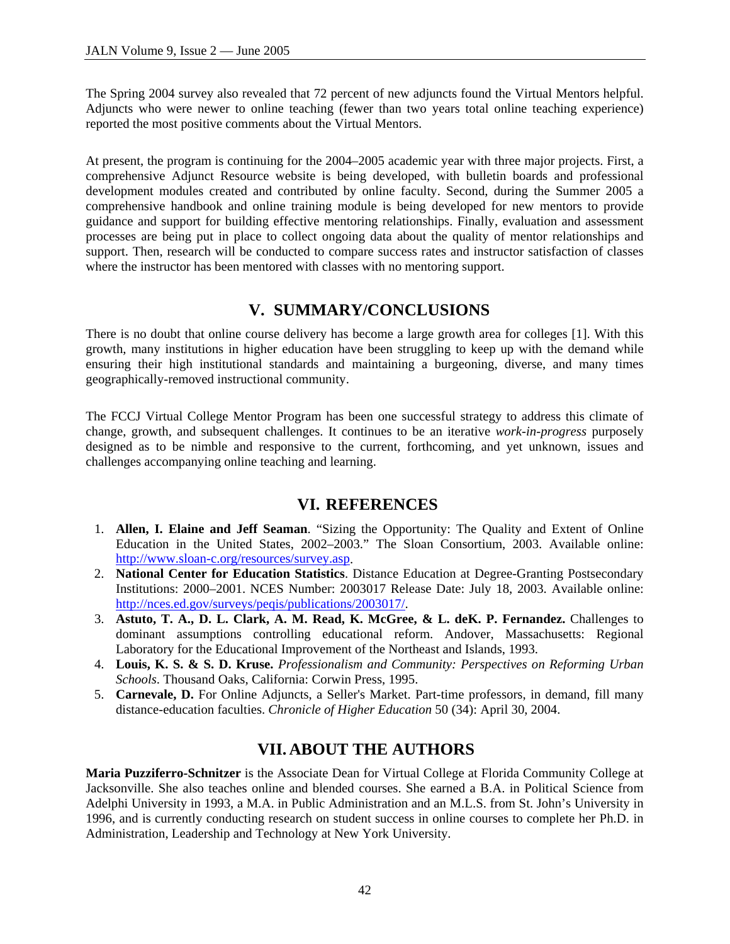The Spring 2004 survey also revealed that 72 percent of new adjuncts found the Virtual Mentors helpful. Adjuncts who were newer to online teaching (fewer than two years total online teaching experience) reported the most positive comments about the Virtual Mentors.

At present, the program is continuing for the 2004–2005 academic year with three major projects. First, a comprehensive Adjunct Resource website is being developed, with bulletin boards and professional development modules created and contributed by online faculty. Second, during the Summer 2005 a comprehensive handbook and online training module is being developed for new mentors to provide guidance and support for building effective mentoring relationships. Finally, evaluation and assessment processes are being put in place to collect ongoing data about the quality of mentor relationships and support. Then, research will be conducted to compare success rates and instructor satisfaction of classes where the instructor has been mentored with classes with no mentoring support.

# **V. SUMMARY/CONCLUSIONS**

There is no doubt that online course delivery has become a large growth area for colleges [1]. With this growth, many institutions in higher education have been struggling to keep up with the demand while ensuring their high institutional standards and maintaining a burgeoning, diverse, and many times geographically-removed instructional community.

The FCCJ Virtual College Mentor Program has been one successful strategy to address this climate of change, growth, and subsequent challenges. It continues to be an iterative *work-in-progress* purposely designed as to be nimble and responsive to the current, forthcoming, and yet unknown, issues and challenges accompanying online teaching and learning.

#### **VI. REFERENCES**

- 1. **Allen, I. Elaine and Jeff Seaman**. "Sizing the Opportunity: The Quality and Extent of Online Education in the United States, 2002–2003." The Sloan Consortium, 2003. Available online: http://www.sloan-c.org/resources/survey.asp.
- 2. **National Center for Education Statistics**. Distance Education at Degree-Granting Postsecondary Institutions: 2000–2001. NCES Number: 2003017 Release Date: July 18, 2003. Available online: http://nces.ed.gov/surveys/peqis/publications/2003017/.
- 3. **Astuto, T. A., D. L. Clark, A. M. Read, K. McGree, & L. deK. P. Fernandez.** Challenges to dominant assumptions controlling educational reform. Andover, Massachusetts: Regional Laboratory for the Educational Improvement of the Northeast and Islands, 1993.
- 4. **Louis, K. S. & S. D. Kruse.** *Professionalism and Community: Perspectives on Reforming Urban Schools*. Thousand Oaks, California: Corwin Press, 1995.
- 5. **Carnevale, D.** For Online Adjuncts, a Seller's Market. Part-time professors, in demand, fill many distance-education faculties. *Chronicle of Higher Education* 50 (34): April 30, 2004.

# **VII. ABOUT THE AUTHORS**

**Maria Puzziferro-Schnitzer** is the Associate Dean for Virtual College at Florida Community College at Jacksonville. She also teaches online and blended courses. She earned a B.A. in Political Science from Adelphi University in 1993, a M.A. in Public Administration and an M.L.S. from St. John's University in 1996, and is currently conducting research on student success in online courses to complete her Ph.D. in Administration, Leadership and Technology at New York University.